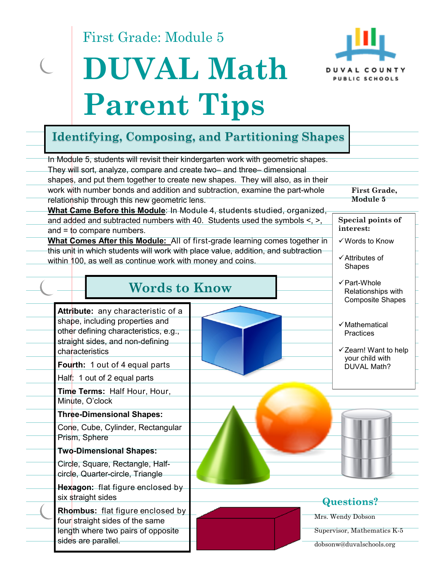First Grade: Module 5

# **DUVAL Math**



## **Parent Tips**

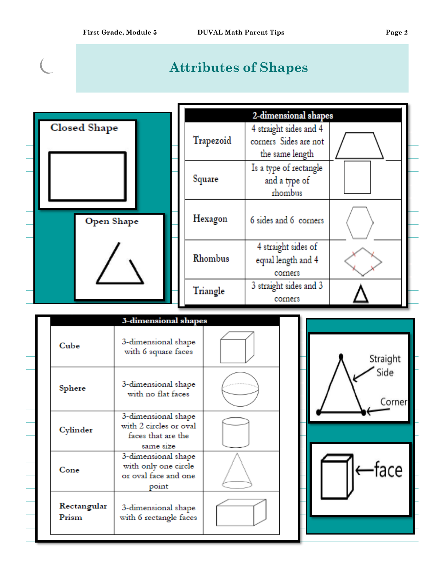$\overline{\mathcal{C}}$ 

### **Attributes of Shapes**



| 2-dimensional shapes |                                                                    |  |  |
|----------------------|--------------------------------------------------------------------|--|--|
| Trapezoid            | 4 straight sides and 4<br>corners Sides are not<br>the same length |  |  |
| Square               | Is a type of rectangle<br>and a type of<br>rhombus                 |  |  |
| Hexagon              | 6 sides and 6 corners                                              |  |  |
| Rhombus              | 4 straight sides of<br>equal length and 4<br>corners               |  |  |
| Triangle             | 3 straight sides and 3<br>corners                                  |  |  |

|                      | 3-dimensional shapes                                                             |  |
|----------------------|----------------------------------------------------------------------------------|--|
| Cube                 | 3-dimensional shape<br>with 6 square faces                                       |  |
| Sphere               | 3-dimensional shape<br>with no flat faces                                        |  |
| Cylinder             | 3-dimensional shape<br>with 2 circles or oval<br>faces that are the<br>same size |  |
| Cone                 | 3-dimensional shape<br>with only one circle<br>or oval face and one<br>point     |  |
| Rectangular<br>Prism | 3-dimensional shape<br>with 6 rectangle faces                                    |  |

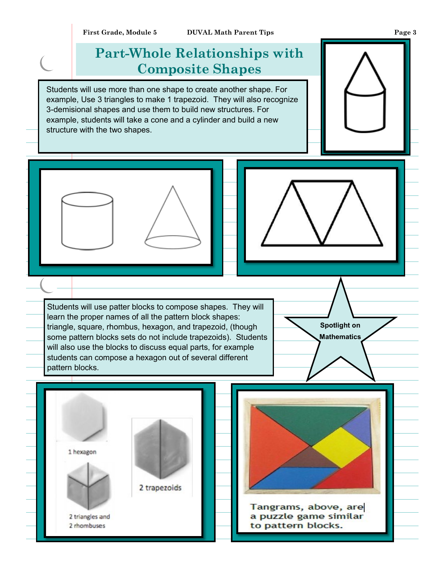#### **Part-Whole Relationships with Composite Shapes**

Students will use more than one shape to create another shape. For example, Use 3 triangles to make 1 trapezoid. They will also recognize 3-demisional shapes and use them to build new structures. For example, students will take a cone and a cylinder and build a new structure with the two shapes.

Students will use patter blocks to compose shapes. They will learn the proper names of all the pattern block shapes: triangle, square, rhombus, hexagon, and trapezoid, (though some pattern blocks sets do not include trapezoids). Students will also use the blocks to discuss equal parts, for example students can compose a hexagon out of several different pattern blocks.

2 trapezoids

1 hexagon

2 triangles and

2 rhombuses

**Spotlight on Mathematics**

Tangrams, above, are a puzzle game similar to pattern blocks.